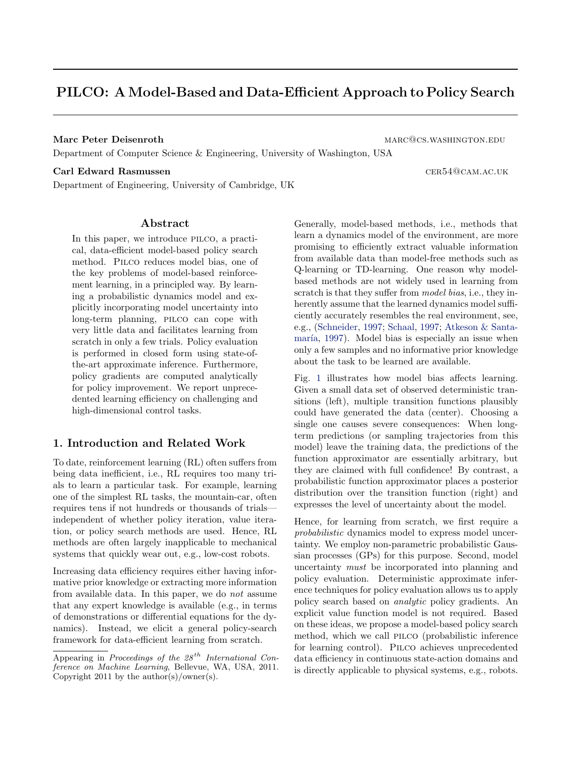# PILCO: A Model-Based and Data-Efficient Approach to Policy Search

Marc Peter Deisenroth marc and the market market market market market market market market market market market

Department of Computer Science & Engineering, University of Washington, USA

### Carl Edward Rasmussen cer54@cam.ac.uk

Department of Engineering, University of Cambridge, UK

# Abstract

In this paper, we introduce pilco, a practical, data-efficient model-based policy search method. Pilco reduces model bias, one of the key problems of model-based reinforcement learning, in a principled way. By learning a probabilistic dynamics model and explicitly incorporating model uncertainty into long-term planning, pilco can cope with very little data and facilitates learning from scratch in only a few trials. Policy evaluation is performed in closed form using state-ofthe-art approximate inference. Furthermore, policy gradients are computed analytically for policy improvement. We report unprecedented learning efficiency on challenging and high-dimensional control tasks.

# 1. Introduction and Related Work

To date, reinforcement learning (RL) often suffers from being data inefficient, i.e., RL requires too many trials to learn a particular task. For example, learning one of the simplest RL tasks, the mountain-car, often requires tens if not hundreds or thousands of trials independent of whether policy iteration, value iteration, or policy search methods are used. Hence, RL methods are often largely inapplicable to mechanical systems that quickly wear out, e.g., low-cost robots.

Increasing data efficiency requires either having informative prior knowledge or extracting more information from available data. In this paper, we do not assume that any expert knowledge is available (e.g., in terms of demonstrations or differential equations for the dynamics). Instead, we elicit a general policy-search framework for data-efficient learning from scratch.

Generally, model-based methods, i.e., methods that learn a dynamics model of the environment, are more promising to efficiently extract valuable information from available data than model-free methods such as Q-learning or TD-learning. One reason why modelbased methods are not widely used in learning from scratch is that they suffer from *model bias*, i.e., they inherently assume that the learned dynamics model sufficiently accurately resembles the real environment, see, e.g., (Schneider, 1997; Schaal, 1997; Atkeson & Santamaría, 1997). Model bias is especially an issue when only a few samples and no informative prior knowledge about the task to be learned are available.

Fig. 1 illustrates how model bias affects learning. Given a small data set of observed deterministic transitions (left), multiple transition functions plausibly could have generated the data (center). Choosing a single one causes severe consequences: When longterm predictions (or sampling trajectories from this model) leave the training data, the predictions of the function approximator are essentially arbitrary, but they are claimed with full confidence! By contrast, a probabilistic function approximator places a posterior distribution over the transition function (right) and expresses the level of uncertainty about the model.

Hence, for learning from scratch, we first require a probabilistic dynamics model to express model uncertainty. We employ non-parametric probabilistic Gaussian processes (GPs) for this purpose. Second, model uncertainty must be incorporated into planning and policy evaluation. Deterministic approximate inference techniques for policy evaluation allows us to apply policy search based on analytic policy gradients. An explicit value function model is not required. Based on these ideas, we propose a model-based policy search method, which we call pilco (probabilistic inference for learning control). Pilco achieves unprecedented data efficiency in continuous state-action domains and is directly applicable to physical systems, e.g., robots.

Appearing in Proceedings of the  $28^{th}$  International Conference on Machine Learning, Bellevue, WA, USA, 2011. Copyright 2011 by the author(s)/owner(s).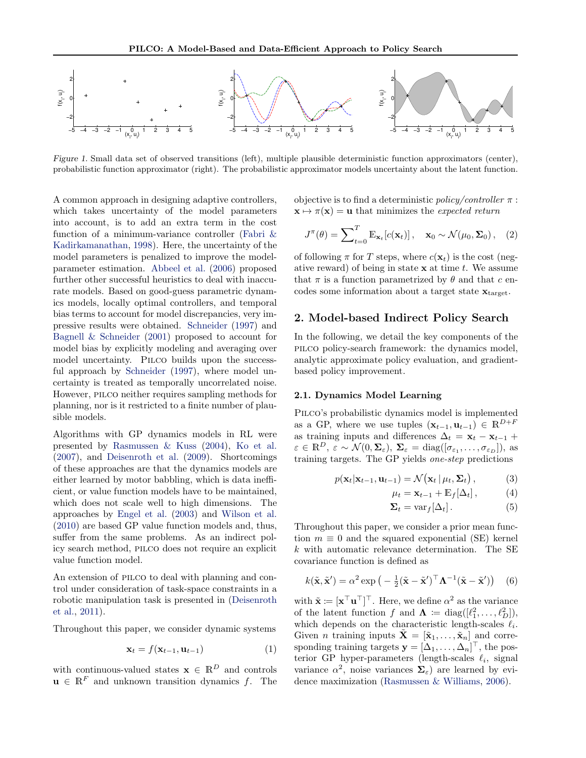

Figure 1. Small data set of observed transitions (left), multiple plausible deterministic function approximators (center), probabilistic function approximator (right). The probabilistic approximator models uncertainty about the latent function.

A common approach in designing adaptive controllers, which takes uncertainty of the model parameters into account, is to add an extra term in the cost function of a minimum-variance controller (Fabri & Kadirkamanathan, 1998). Here, the uncertainty of the model parameters is penalized to improve the modelparameter estimation. Abbeel et al. (2006) proposed further other successful heuristics to deal with inaccurate models. Based on good-guess parametric dynamics models, locally optimal controllers, and temporal bias terms to account for model discrepancies, very impressive results were obtained. Schneider (1997) and Bagnell & Schneider (2001) proposed to account for model bias by explicitly modeling and averaging over model uncertainty. Pilco builds upon the successful approach by Schneider (1997), where model uncertainty is treated as temporally uncorrelated noise. However, pilco neither requires sampling methods for planning, nor is it restricted to a finite number of plausible models.

Algorithms with GP dynamics models in RL were presented by Rasmussen & Kuss (2004), Ko et al. (2007), and Deisenroth et al. (2009). Shortcomings of these approaches are that the dynamics models are either learned by motor babbling, which is data inefficient, or value function models have to be maintained, which does not scale well to high dimensions. The approaches by Engel et al. (2003) and Wilson et al. (2010) are based GP value function models and, thus, suffer from the same problems. As an indirect policy search method, pilco does not require an explicit value function model.

An extension of PILCO to deal with planning and control under consideration of task-space constraints in a robotic manipulation task is presented in (Deisenroth et al., 2011).

Throughout this paper, we consider dynamic systems

$$
\mathbf{x}_t = f(\mathbf{x}_{t-1}, \mathbf{u}_{t-1}) \tag{1}
$$

with continuous-valued states  $\mathbf{x} \in \mathbb{R}^D$  and controls  $\mathbf{u} \in \mathbb{R}^F$  and unknown transition dynamics f. The objective is to find a deterministic *policy/controller*  $\pi$ :  $\mathbf{x} \mapsto \pi(\mathbf{x}) = \mathbf{u}$  that minimizes the expected return

$$
J^{\pi}(\theta) = \sum_{t=0}^{T} \mathbb{E}_{\mathbf{x}_t} [c(\mathbf{x}_t)], \quad \mathbf{x}_0 \sim \mathcal{N}(\mu_0, \Sigma_0), \quad (2)
$$

of following  $\pi$  for T steps, where  $c(\mathbf{x}_t)$  is the cost (negative reward) of being in state  $x$  at time  $t$ . We assume that  $\pi$  is a function parametrized by  $\theta$  and that c encodes some information about a target state  $\mathbf{x}_{\text{target}}$ .

# 2. Model-based Indirect Policy Search

In the following, we detail the key components of the pilco policy-search framework: the dynamics model, analytic approximate policy evaluation, and gradientbased policy improvement.

## 2.1. Dynamics Model Learning

Pilco's probabilistic dynamics model is implemented as a GP, where we use tuples  $(\mathbf{x}_{t-1}, \mathbf{u}_{t-1}) \in \mathbb{R}^{D+F}$ as training inputs and differences  $\Delta_t = \mathbf{x}_t - \mathbf{x}_{t-1} +$  $\varepsilon \in \mathbb{R}^D$ ,  $\varepsilon \sim \mathcal{N}(0, \Sigma_{\varepsilon})$ ,  $\Sigma_{\varepsilon} = \text{diag}([\sigma_{\varepsilon_1}, \ldots, \sigma_{\varepsilon_D}]),$  as training targets. The GP yields one-step predictions

$$
p(\mathbf{x}_t|\mathbf{x}_{t-1},\mathbf{u}_{t-1}) = \mathcal{N}(\mathbf{x}_t | \mu_t, \Sigma_t), \tag{3}
$$

$$
\mu_t = \mathbf{x}_{t-1} + \mathbb{E}_f[\Delta_t], \tag{4}
$$

$$
\Sigma_t = \text{var}_f[\Delta_t]. \tag{5}
$$

Throughout this paper, we consider a prior mean function  $m \equiv 0$  and the squared exponential (SE) kernel k with automatic relevance determination. The SE covariance function is defined as

$$
k(\tilde{\mathbf{x}}, \tilde{\mathbf{x}}') = \alpha^2 \exp\left(-\frac{1}{2}(\tilde{\mathbf{x}} - \tilde{\mathbf{x}}')^\top \mathbf{\Lambda}^{-1}(\tilde{\mathbf{x}} - \tilde{\mathbf{x}}')\right) \quad (6)
$$

with  $\tilde{\mathbf{x}} \coloneqq [\mathbf{x}^\top \mathbf{u}^\top]^\top$ . Here, we define  $\alpha^2$  as the variance of the latent function f and  $\mathbf{\Lambda} \coloneqq \text{diag}([\ell_1^2, \ldots, \ell_D^2]),$ which depends on the characteristic length-scales  $\ell_i$ . Given *n* training inputs  $\mathbf{X} = [\tilde{\mathbf{x}}_1, \dots, \tilde{\mathbf{x}}_n]$  and corresponding training targets  $\mathbf{y} = [\Delta_1, \dots, \Delta_n]^\top$ , the posterior GP hyper-parameters (length-scales  $\ell_i$ , signal variance  $\alpha^2$ , noise variances  $\Sigma_{\varepsilon}$ ) are learned by evidence maximization (Rasmussen & Williams, 2006).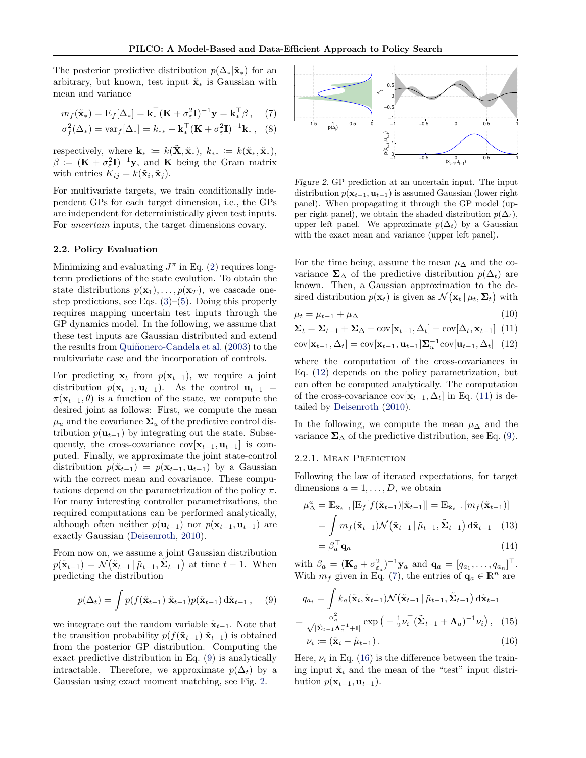The posterior predictive distribution  $p(\Delta_*|\tilde{\mathbf{x}}_*)$  for an arbitrary, but known, test input  $\tilde{\mathbf{x}}_*$  is Gaussian with mean and variance

$$
m_f(\tilde{\mathbf{x}}_*) = \mathbb{E}_f[\Delta_*] = \mathbf{k}_*^\top (\mathbf{K} + \sigma_\varepsilon^2 \mathbf{I})^{-1} \mathbf{y} = \mathbf{k}_*^\top \boldsymbol{\beta}, \quad (7)
$$

$$
\sigma_f^2(\Delta_*) = \text{var}_f[\Delta_*] = k_{**} - \mathbf{k}_*^\top (\mathbf{K} + \sigma_\varepsilon^2 \mathbf{I})^{-1} \mathbf{k}_*, \quad (8)
$$

respectively, where  $\mathbf{k}_* := k(\tilde{\mathbf{X}}, \tilde{\mathbf{x}}_*)$ ,  $k_{**} := k(\tilde{\mathbf{x}}_*, \tilde{\mathbf{x}}_*)$ ,  $\beta := (\mathbf{K} + \sigma_{\varepsilon}^2 \mathbf{I})^{-1} \mathbf{y}$ , and **K** being the Gram matrix with entries  $K_{ij} = k(\tilde{\mathbf{x}}_i, \tilde{\mathbf{x}}_j)$ .

For multivariate targets, we train conditionally independent GPs for each target dimension, i.e., the GPs are independent for deterministically given test inputs. For uncertain inputs, the target dimensions covary.

### 2.2. Policy Evaluation

Minimizing and evaluating  $J^{\pi}$  in Eq. (2) requires longterm predictions of the state evolution. To obtain the state distributions  $p(\mathbf{x}_1), \ldots, p(\mathbf{x}_T)$ , we cascade onestep predictions, see Eqs.  $(3)$ – $(5)$ . Doing this properly requires mapping uncertain test inputs through the GP dynamics model. In the following, we assume that these test inputs are Gaussian distributed and extend the results from Quiñonero-Candela et al. (2003) to the multivariate case and the incorporation of controls.

For predicting  $x_t$  from  $p(x_{t-1})$ , we require a joint distribution  $p(\mathbf{x}_{t-1}, \mathbf{u}_{t-1})$ . As the control  $\mathbf{u}_{t-1}$  =  $\pi(\mathbf{x}_{t-1}, \theta)$  is a function of the state, we compute the desired joint as follows: First, we compute the mean  $\mu_u$  and the covariance  $\Sigma_u$  of the predictive control distribution  $p(\mathbf{u}_{t-1})$  by integrating out the state. Subsequently, the cross-covariance  $cov[\mathbf{x}_{t-1}, \mathbf{u}_{t-1}]$  is computed. Finally, we approximate the joint state-control distribution  $p(\tilde{\mathbf{x}}_{t-1}) = p(\mathbf{x}_{t-1}, \mathbf{u}_{t-1})$  by a Gaussian with the correct mean and covariance. These computations depend on the parametrization of the policy  $\pi$ . For many interesting controller parametrizations, the required computations can be performed analytically, although often neither  $p(\mathbf{u}_{t-1})$  nor  $p(\mathbf{x}_{t-1}, \mathbf{u}_{t-1})$  are exactly Gaussian (Deisenroth, 2010).

From now on, we assume a joint Gaussian distribution  $p(\tilde{\mathbf{x}}_{t-1}) = \mathcal{N}(\tilde{\mathbf{x}}_{t-1} | \tilde{\mu}_{t-1}, \tilde{\Sigma}_{t-1})$  at time  $t-1$ . When predicting the distribution

$$
p(\Delta_t) = \int p(f(\tilde{\mathbf{x}}_{t-1})|\tilde{\mathbf{x}}_{t-1})p(\tilde{\mathbf{x}}_{t-1}) d\tilde{\mathbf{x}}_{t-1}, \quad (9)
$$

we integrate out the random variable  $\tilde{\mathbf{x}}_{t-1}$ . Note that the transition probability  $p(f(\tilde{\mathbf{x}}_{t-1})|\tilde{\mathbf{x}}_{t-1})$  is obtained from the posterior GP distribution. Computing the exact predictive distribution in Eq. (9) is analytically intractable. Therefore, we approximate  $p(\Delta_t)$  by a Gaussian using exact moment matching, see Fig. 2.



Figure 2. GP prediction at an uncertain input. The input distribution  $p(\mathbf{x}_{t-1}, \mathbf{u}_{t-1})$  is assumed Gaussian (lower right panel). When propagating it through the GP model (upper right panel), we obtain the shaded distribution  $p(\Delta_t)$ , upper left panel. We approximate  $p(\Delta_t)$  by a Gaussian with the exact mean and variance (upper left panel).

For the time being, assume the mean  $\mu_{\Delta}$  and the covariance  $\Sigma_{\Delta}$  of the predictive distribution  $p(\Delta_t)$  are known. Then, a Gaussian approximation to the desired distribution  $p(\mathbf{x}_t)$  is given as  $\mathcal{N}(\mathbf{x}_t | \mu_t, \Sigma_t)$  with

$$
\mu_t = \mu_{t-1} + \mu_\Delta \tag{10}
$$

$$
\Sigma_t = \Sigma_{t-1} + \Sigma_{\Delta} + \text{cov}[\mathbf{x}_{t-1}, \Delta_t] + \text{cov}[\Delta_t, \mathbf{x}_{t-1}] \tag{11}
$$

$$
cov[\mathbf{x}_{t-1}, \Delta_t] = cov[\mathbf{x}_{t-1}, \mathbf{u}_{t-1}] \mathbf{\Sigma}_u^{-1} cov[\mathbf{u}_{t-1}, \Delta_t]
$$
 (12)

where the computation of the cross-covariances in Eq. (12) depends on the policy parametrization, but can often be computed analytically. The computation of the cross-covariance cov $[\mathbf{x}_{t-1}, \Delta_t]$  in Eq. (11) is detailed by Deisenroth (2010).

In the following, we compute the mean  $\mu_{\Delta}$  and the variance  $\Sigma_{\Delta}$  of the predictive distribution, see Eq. (9).

#### 2.2.1. Mean Prediction

Following the law of iterated expectations, for target dimensions  $a = 1, \ldots, D$ , we obtain

$$
\mu_{\Delta}^a = \mathbb{E}_{\tilde{\mathbf{x}}_{t-1}}[\mathbb{E}_f[f(\tilde{\mathbf{x}}_{t-1})|\tilde{\mathbf{x}}_{t-1}]] = \mathbb{E}_{\tilde{\mathbf{x}}_{t-1}}[m_f(\tilde{\mathbf{x}}_{t-1})]
$$

$$
= \int m_f(\tilde{\mathbf{x}}_{t-1}) \mathcal{N}(\tilde{\mathbf{x}}_{t-1}|\tilde{\mu}_{t-1}, \tilde{\mathbf{\Sigma}}_{t-1}) d\tilde{\mathbf{x}}_{t-1} \quad (13)
$$

$$
= \beta_a^\top \mathbf{q}_a \tag{14}
$$

with  $\beta_a = (\mathbf{K}_a + \sigma_{\varepsilon_a}^2)^{-1} \mathbf{y}_a$  and  $\mathbf{q}_a = [q_{a_1}, \dots, q_{a_n}]^\top$ . With  $m_f$  given in Eq. (7), the entries of  $\mathbf{q}_a \in \mathbb{R}^n$  are

$$
q_{a_i} = \int k_a(\tilde{\mathbf{x}}_i, \tilde{\mathbf{x}}_{t-1}) \mathcal{N}(\tilde{\mathbf{x}}_{t-1} | \tilde{\mu}_{t-1}, \tilde{\mathbf{\Sigma}}_{t-1}) d\tilde{\mathbf{x}}_{t-1}
$$

$$
= \frac{\alpha_a^2}{\sqrt{|\tilde{\mathbf{\Sigma}}_{t-1}\Lambda_a^{-1}+1|}} \exp\left(-\frac{1}{2}\nu_i^\top (\tilde{\mathbf{\Sigma}}_{t-1} + \Lambda_a)^{-1} \nu_i\right), \quad (15)
$$

$$
\nu_i := (\tilde{\mathbf{x}}_i - \tilde{\mu}_{t-1}). \tag{16}
$$

Here,  $\nu_i$  in Eq. (16) is the difference between the training input  $\tilde{\mathbf{x}}_i$  and the mean of the "test" input distribution  $p(\mathbf{x}_{t-1}, \mathbf{u}_{t-1})$ .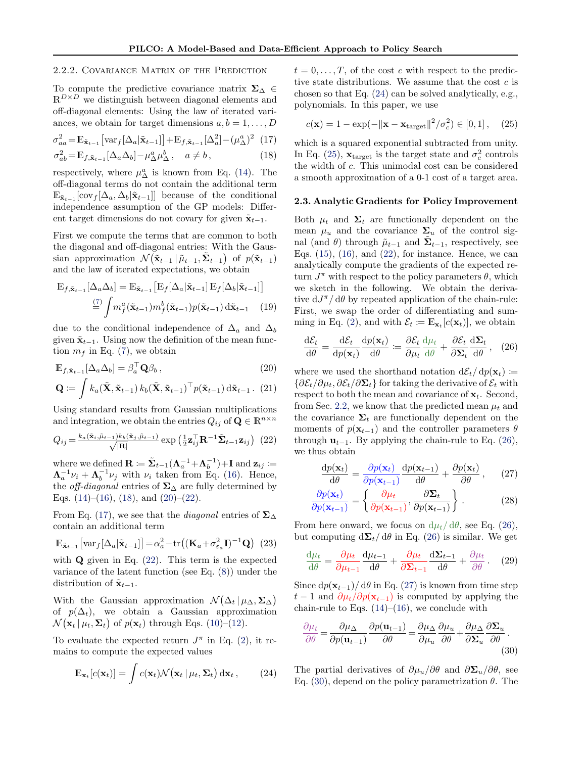## 2.2.2. Covariance Matrix of the Prediction

To compute the predictive covariance matrix  $\Sigma_{\Delta}$  ∈  $\mathbb{R}^{D\times D}$  we distinguish between diagonal elements and off-diagonal elements: Using the law of iterated variances, we obtain for target dimensions  $a, b = 1, \ldots, D$ 

$$
\sigma_{aa}^2 = \mathbb{E}_{\tilde{\mathbf{x}}_{t-1}} \left[ \text{var}_{f}[\Delta_a | \tilde{\mathbf{x}}_{t-1}] \right] + \mathbb{E}_{f, \tilde{\mathbf{x}}_{t-1}} [\Delta_a^2] - (\mu_\Delta^a)^2 \tag{17}
$$

$$
\sigma_{ab}^2 = \mathbb{E}_{f, \tilde{\mathbf{x}}_{t-1}} [\Delta_a \Delta_b] - \mu_\Delta^a \mu_\Delta^b, \quad a \neq b,
$$
\n(18)

respectively, where  $\mu_{\Delta}^{a}$  is known from Eq. (14). The off-diagonal terms do not contain the additional term  $\mathbb{E}_{\tilde{\mathbf{x}}_{t-1}}[\text{cov}_f[\Delta_a, \Delta_b|\tilde{\mathbf{x}}_{t-1}]]$  because of the conditional independence assumption of the GP models: Different target dimensions do not covary for given  $\tilde{\mathbf{x}}_{t-1}$ .

First we compute the terms that are common to both the diagonal and off-diagonal entries: With the Gaussian approximation  $\mathcal{N}(\tilde{\mathbf{x}}_{t-1} | \tilde{\mu}_{t-1}, \tilde{\mathbf{\Sigma}}_{t-1})$  of  $p(\tilde{\mathbf{x}}_{t-1})$ and the law of iterated expectations, we obtain

$$
\mathbb{E}_{f,\tilde{\mathbf{x}}_{t-1}}[\Delta_a \Delta_b] = \mathbb{E}_{\tilde{\mathbf{x}}_{t-1}}[\mathbb{E}_f[\Delta_a|\tilde{\mathbf{x}}_{t-1}]\mathbb{E}_f[\Delta_b|\tilde{\mathbf{x}}_{t-1}]]
$$

$$
\stackrel{(7)}{=} \int m_f^a(\tilde{\mathbf{x}}_{t-1}) m_f^b(\tilde{\mathbf{x}}_{t-1}) p(\tilde{\mathbf{x}}_{t-1}) d\tilde{\mathbf{x}}_{t-1} \tag{19}
$$

due to the conditional independence of  $\Delta_a$  and  $\Delta_b$ given  $\tilde{\mathbf{x}}_{t-1}$ . Using now the definition of the mean function  $m_f$  in Eq. (7), we obtain

$$
\mathbb{E}_{f,\tilde{\mathbf{x}}_{t-1}}[\Delta_a \Delta_b] = \beta_a^{\top} \mathbf{Q} \beta_b, \qquad (20)
$$

$$
\mathbf{Q} := \int k_a(\tilde{\mathbf{X}}, \tilde{\mathbf{x}}_{t-1}) k_b(\tilde{\mathbf{X}}, \tilde{\mathbf{x}}_{t-1})^\top p(\tilde{\mathbf{x}}_{t-1}) \, d\tilde{\mathbf{x}}_{t-1}.
$$
 (21)

Using standard results from Gaussian multiplications and integration, we obtain the entries  $Q_{ij}$  of  $\mathbf{Q} \in \mathbb{R}^{n \times n}$ 

$$
Q_{ij} = \frac{k_a(\tilde{\mathbf{x}}_i, \tilde{\boldsymbol{\mu}}_{t-1})k_b(\tilde{\mathbf{x}}_j, \tilde{\boldsymbol{\mu}}_{t-1})}{\sqrt{|\mathbf{R}|}} \exp\left(\frac{1}{2}\mathbf{z}_{ij}^\top \mathbf{R}^{-1}\tilde{\boldsymbol{\Sigma}}_{t-1}\mathbf{z}_{ij}\right) (22)
$$

where we defined  $\mathbf{R} \coloneqq \tilde{\mathbf{\Sigma}}_{t-1}(\mathbf{\Lambda}_a^{-1} + \mathbf{\Lambda}_b^{-1}) + \mathbf{I}$  and  $\mathbf{z}_{ij} \coloneqq$  $\Lambda_a^{-1} \nu_i + \Lambda_b^{-1} \nu_j$  with  $\nu_i$  taken from Eq. (16). Hence, the *off-diagonal* entries of  $\Sigma_{\Delta}$  are fully determined by Eqs.  $(14)$ – $(16)$ ,  $(18)$ , and  $(20)$ – $(22)$ .

From Eq. (17), we see that the *diagonal* entries of  $\Sigma_{\Delta}$ contain an additional term

$$
\mathbb{E}_{\tilde{\mathbf{x}}_{t-1}}\left[\text{var}_{f}[\Delta_a|\tilde{\mathbf{x}}_{t-1}]\right] = \alpha_a^2 - \text{tr}\left((\mathbf{K}_a + \sigma_{\varepsilon_a}^2 \mathbf{I})^{-1} \mathbf{Q}\right) (23)
$$

with  $\bf{Q}$  given in Eq. (22). This term is the expected variance of the latent function (see Eq. (8)) under the distribution of  $\tilde{\mathbf{x}}_{t-1}$ .

With the Gaussian approximation  $\mathcal{N}(\Delta_t | \mu_{\Delta}, \Sigma_{\Delta})$ of  $p(\Delta_t)$ , we obtain a Gaussian approximation  $\mathcal{N}(\mathbf{x}_t | \mu_t, \mathbf{\Sigma}_t)$  of  $p(\mathbf{x}_t)$  through Eqs. (10)–(12).

To evaluate the expected return  $J^{\pi}$  in Eq. (2), it remains to compute the expected values

$$
\mathbb{E}_{\mathbf{x}_t}[c(\mathbf{x}_t)] = \int c(\mathbf{x}_t) \mathcal{N}(\mathbf{x}_t | \mu_t, \Sigma_t) \, \mathrm{d}\mathbf{x}_t, \qquad (24)
$$

 $t = 0, \ldots, T$ , of the cost c with respect to the predictive state distributions. We assume that the cost  $c$  is chosen so that Eq. (24) can be solved analytically, e.g., polynomials. In this paper, we use

$$
c(\mathbf{x}) = 1 - \exp(-\|\mathbf{x} - \mathbf{x}_{\text{target}}\|^2 / \sigma_c^2) \in [0, 1], \quad (25)
$$

which is a squared exponential subtracted from unity. In Eq. (25),  $\mathbf{x}_{\text{target}}$  is the target state and  $\sigma_c^2$  controls the width of c. This unimodal cost can be considered a smooth approximation of a 0-1 cost of a target area.

#### 2.3. Analytic Gradients for Policy Improvement

Both  $\mu_t$  and  $\Sigma_t$  are functionally dependent on the mean  $\mu_u$  and the covariance  $\Sigma_u$  of the control signal (and  $\theta$ ) through  $\tilde{\mu}_{t-1}$  and  $\tilde{\Sigma}_{t-1}$ , respectively, see Eqs.  $(15)$ ,  $(16)$ , and  $(22)$ , for instance. Hence, we can analytically compute the gradients of the expected return  $J^{\pi}$  with respect to the policy parameters  $\theta$ , which we sketch in the following. We obtain the derivative  $dJ^{\pi}/d\theta$  by repeated application of the chain-rule: First, we swap the order of differentiating and summing in Eq. (2), and with  $\mathcal{E}_t \coloneqq \mathbb{E}_{\mathbf{x}_t}[c(\mathbf{x}_t)],$  we obtain

$$
\frac{\mathrm{d}\mathcal{E}_t}{\mathrm{d}\theta} = \frac{\mathrm{d}\mathcal{E}_t}{\mathrm{d}p(\mathbf{x}_t)} \frac{\mathrm{d}p(\mathbf{x}_t)}{\mathrm{d}\theta} \coloneqq \frac{\partial \mathcal{E}_t}{\partial \mu_t} \frac{\mathrm{d}\mu_t}{\mathrm{d}\theta} + \frac{\partial \mathcal{E}_t}{\partial \mathbf{\Sigma}_t} \frac{\mathrm{d}\mathbf{\Sigma}_t}{\mathrm{d}\theta}, \quad (26)
$$

where we used the shorthand notation  $d\mathcal{E}_t/dp(\mathbf{x}_t) :=$  $\{\partial \mathcal{E}_t/\partial \mu_t, \partial \mathcal{E}_t/\partial \mathbf{\Sigma}_t\}$  for taking the derivative of  $\mathcal{E}_t$  with respect to both the mean and covariance of  $x_t$ . Second, from Sec. 2.2, we know that the predicted mean  $\mu_t$  and the covariance  $\Sigma_t$  are functionally dependent on the moments of  $p(\mathbf{x}_{t-1})$  and the controller parameters  $\theta$ through  $\mathbf{u}_{t-1}$ . By applying the chain-rule to Eq. (26), we thus obtain

$$
\frac{\mathrm{d}p(\mathbf{x}_t)}{\mathrm{d}\theta} = \frac{\partial p(\mathbf{x}_t)}{\partial p(\mathbf{x}_{t-1})} \frac{\mathrm{d}p(\mathbf{x}_{t-1})}{\mathrm{d}\theta} + \frac{\partial p(\mathbf{x}_t)}{\partial \theta},\qquad(27)
$$

$$
\frac{\partial p(\mathbf{x}_t)}{\partial p(\mathbf{x}_{t-1})} = \left\{ \frac{\partial \mu_t}{\partial p(\mathbf{x}_{t-1})}, \frac{\partial \Sigma_t}{\partial p(\mathbf{x}_{t-1})} \right\}.
$$
 (28)

From here onward, we focus on  $d\mu_t/d\theta$ , see Eq. (26), but computing  $d\Sigma_t/d\theta$  in Eq. (26) is similar. We get

$$
\frac{d\mu_t}{d\theta} = \frac{\partial \mu_t}{\partial \mu_{t-1}} \frac{d\mu_{t-1}}{d\theta} + \frac{\partial \mu_t}{\partial \Sigma_{t-1}} \frac{d\Sigma_{t-1}}{d\theta} + \frac{\partial \mu_t}{\partial \theta}.
$$
 (29)

Since  $dp(\mathbf{x}_{t-1})/ d\theta$  in Eq. (27) is known from time step  $t-1$  and  $\partial \mu_t / \partial p(\mathbf{x}_{t-1})$  is computed by applying the chain-rule to Eqs.  $(14)$ – $(16)$ , we conclude with

$$
\frac{\partial \mu_t}{\partial \theta} = \frac{\partial \mu_{\Delta}}{\partial p(\mathbf{u}_{t-1})} \frac{\partial p(\mathbf{u}_{t-1})}{\partial \theta} = \frac{\partial \mu_{\Delta}}{\partial \mu_u} \frac{\partial \mu_u}{\partial \theta} + \frac{\partial \mu_{\Delta}}{\partial \Sigma_u} \frac{\partial \Sigma_u}{\partial \theta}.
$$
\n(30)

The partial derivatives of  $\partial \mu_u / \partial \theta$  and  $\partial \Sigma_u / \partial \theta$ , see Eq. (30), depend on the policy parametrization  $\theta$ . The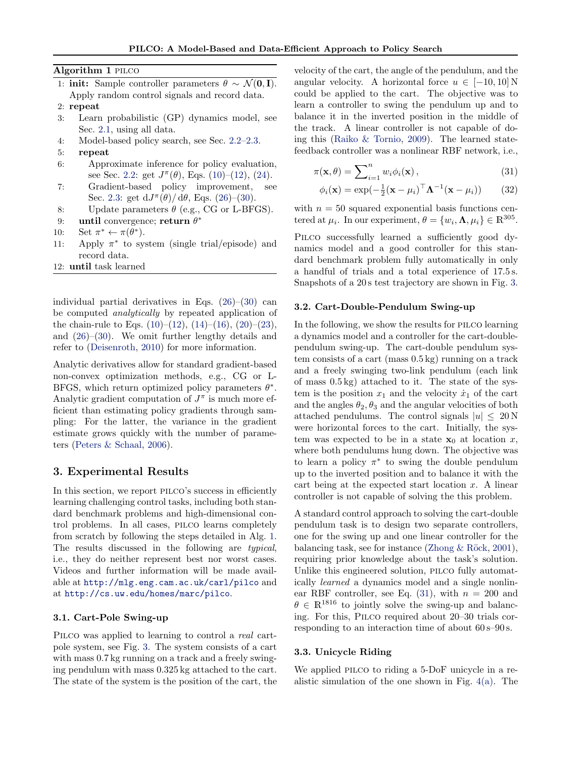Algorithm 1 pilco

- 1: init: Sample controller parameters  $\theta \sim \mathcal{N}(0, I)$ . Apply random control signals and record data.
- 2: repeat
- 3: Learn probabilistic (GP) dynamics model, see Sec. 2.1, using all data.
- 4: Model-based policy search, see Sec. 2.2–2.3.
- 5: repeat
- 6: Approximate inference for policy evaluation, see Sec. 2.2: get  $J^{\pi}(\theta)$ , Eqs. (10)–(12), (24).
- 7: Gradient-based policy improvement, see Sec. 2.3: get  $dJ^{\pi}(\theta)/d\theta$ , Eqs. (26)–(30).
- 8: Update parameters  $\theta$  (e.g., CG or L-BFGS).
- 9: until convergence; return  $\theta^*$
- 10: Set  $\pi^* \leftarrow \pi(\theta^*).$
- 11: Apply  $\pi^*$  to system (single trial/episode) and record data.
- 12: until task learned

individual partial derivatives in Eqs.  $(26)$ – $(30)$  can be computed analytically by repeated application of the chain-rule to Eqs.  $(10)$ – $(12)$ ,  $(14)$ – $(16)$ ,  $(20)$ – $(23)$ , and (26)–(30). We omit further lengthy details and refer to (Deisenroth, 2010) for more information.

Analytic derivatives allow for standard gradient-based non-convex optimization methods, e.g., CG or L-BFGS, which return optimized policy parameters  $\theta^*$ . Analytic gradient computation of  $J^{\pi}$  is much more efficient than estimating policy gradients through sampling: For the latter, the variance in the gradient estimate grows quickly with the number of parameters (Peters & Schaal, 2006).

# 3. Experimental Results

In this section, we report PILCO's success in efficiently learning challenging control tasks, including both standard benchmark problems and high-dimensional control problems. In all cases, pilco learns completely from scratch by following the steps detailed in Alg. 1. The results discussed in the following are typical, i.e., they do neither represent best nor worst cases. Videos and further information will be made available at http://mlg.eng.cam.ac.uk/carl/pilco and at http://cs.uw.edu/homes/marc/pilco.

## 3.1. Cart-Pole Swing-up

PILCO was applied to learning to control a real cartpole system, see Fig. 3. The system consists of a cart with mass  $0.7 \text{ kg running on a track and a freely swing-}$ ing pendulum with mass 0.325 kg attached to the cart. The state of the system is the position of the cart, the

velocity of the cart, the angle of the pendulum, and the angular velocity. A horizontal force  $u \in [-10, 10]$  N could be applied to the cart. The objective was to learn a controller to swing the pendulum up and to balance it in the inverted position in the middle of the track. A linear controller is not capable of doing this (Raiko & Tornio, 2009). The learned statefeedback controller was a nonlinear RBF network, i.e.,

$$
\pi(\mathbf{x}, \theta) = \sum_{i=1}^{n} w_i \phi_i(\mathbf{x}), \qquad (31)
$$

$$
\phi_i(\mathbf{x}) = \exp(-\frac{1}{2}(\mathbf{x} - \mu_i)^{\top} \mathbf{\Lambda}^{-1}(\mathbf{x} - \mu_i)) \qquad (32)
$$

with  $n = 50$  squared exponential basis functions centered at  $\mu_i$ . In our experiment,  $\theta = \{w_i, \Lambda, \mu_i\} \in \mathbb{R}^{305}$ .

PILCO successfully learned a sufficiently good dynamics model and a good controller for this standard benchmark problem fully automatically in only a handful of trials and a total experience of 17.5 s. Snapshots of a 20 s test trajectory are shown in Fig. 3.

#### 3.2. Cart-Double-Pendulum Swing-up

In the following, we show the results for pilco learning a dynamics model and a controller for the cart-doublependulum swing-up. The cart-double pendulum system consists of a cart (mass 0.5 kg) running on a track and a freely swinging two-link pendulum (each link of mass 0.5 kg) attached to it. The state of the system is the position  $x_1$  and the velocity  $\dot{x}_1$  of the cart and the angles  $\theta_2, \theta_3$  and the angular velocities of both attached pendulums. The control signals  $|u| \leq 20 \,\mathrm{N}$ were horizontal forces to the cart. Initially, the system was expected to be in a state  $x_0$  at location x, where both pendulums hung down. The objective was to learn a policy  $\pi^*$  to swing the double pendulum up to the inverted position and to balance it with the cart being at the expected start location  $x$ . A linear controller is not capable of solving the this problem.

A standard control approach to solving the cart-double pendulum task is to design two separate controllers, one for the swing up and one linear controller for the balancing task, see for instance (Zhong  $\&$  Röck, 2001), requiring prior knowledge about the task's solution. Unlike this engineered solution, pilco fully automatically learned a dynamics model and a single nonlinear RBF controller, see Eq.  $(31)$ , with  $n = 200$  and  $\theta \in \mathbb{R}^{1816}$  to jointly solve the swing-up and balancing. For this, Pilco required about 20–30 trials corresponding to an interaction time of about  $60 s - 90 s$ .

### 3.3. Unicycle Riding

We applied PILCO to riding a 5-DoF unicycle in a realistic simulation of the one shown in Fig. 4(a). The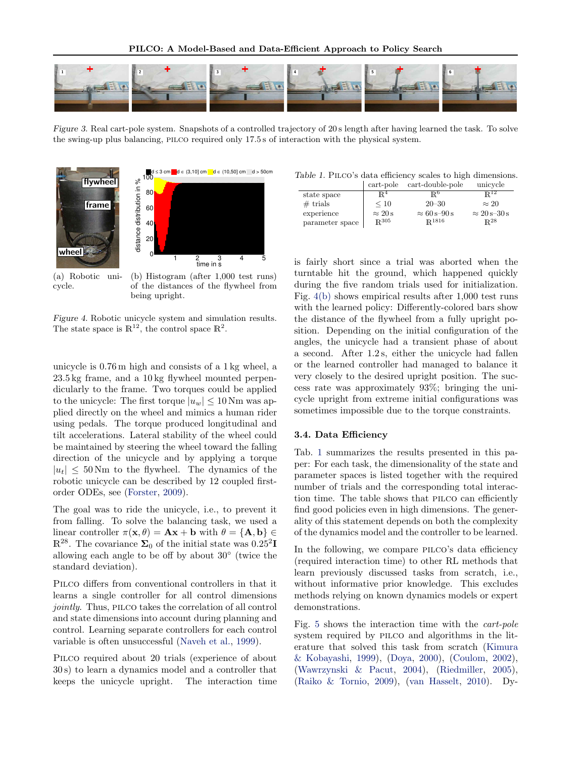

Figure 3. Real cart-pole system. Snapshots of a controlled trajectory of 20 s length after having learned the task. To solve the swing-up plus balancing, pilco required only 17.5 s of interaction with the physical system.



(a) Robotic unicycle.

(b) Histogram (after 1,000 test runs) of the distances of the flywheel from being upright.

Figure 4. Robotic unicycle system and simulation results. The state space is  $\mathbb{R}^{12}$ , the control space  $\mathbb{R}^{2}$ .

unicycle is 0.76 m high and consists of a 1 kg wheel, a 23.5 kg frame, and a 10 kg flywheel mounted perpendicularly to the frame. Two torques could be applied to the unicycle: The first torque  $|u_w| \leq 10$  Nm was applied directly on the wheel and mimics a human rider using pedals. The torque produced longitudinal and tilt accelerations. Lateral stability of the wheel could be maintained by steering the wheel toward the falling direction of the unicycle and by applying a torque  $|u_t| \leq 50$  Nm to the flywheel. The dynamics of the robotic unicycle can be described by 12 coupled firstorder ODEs, see (Forster, 2009).

The goal was to ride the unicycle, i.e., to prevent it from falling. To solve the balancing task, we used a linear controller  $\pi(\mathbf{x}, \theta) = \mathbf{A}\mathbf{x} + \mathbf{b}$  with  $\theta = {\mathbf{A}, \mathbf{b}} \in$  $\mathbb{R}^{28}$ . The covariance  $\Sigma_0$  of the initial state was  $0.25^2$ **I** allowing each angle to be off by about 30◦ (twice the standard deviation).

PILCO differs from conventional controllers in that it learns a single controller for all control dimensions jointly. Thus, PILCO takes the correlation of all control and state dimensions into account during planning and control. Learning separate controllers for each control variable is often unsuccessful (Naveh et al., 1999).

PILCO required about 20 trials (experience of about 30 s) to learn a dynamics model and a controller that keeps the unicycle upright. The interaction time

Table 1. PILCO's data efficiency scales to high dimensions.

|                 | cart-pole          | cart-double-pole      | unicycle              |
|-----------------|--------------------|-----------------------|-----------------------|
| state space     | $\mathbb{R}^4$     | R٥                    | $\mathbb{R}^{12}$     |
| $#$ trials      | $\leq 10$          | $20 - 30$             | $\approx 20$          |
| experience      | $\approx 20 s$     | $\approx 60 s - 90 s$ | $\approx 20 s - 30 s$ |
| parameter space | $\mathbb{R}^{305}$ | $\mathbb{R}^{1816}$   | $\mathbb{R}^{28}$     |

is fairly short since a trial was aborted when the turntable hit the ground, which happened quickly during the five random trials used for initialization. Fig. 4(b) shows empirical results after 1,000 test runs with the learned policy: Differently-colored bars show the distance of the flywheel from a fully upright position. Depending on the initial configuration of the angles, the unicycle had a transient phase of about a second. After 1.2 s, either the unicycle had fallen or the learned controller had managed to balance it very closely to the desired upright position. The success rate was approximately 93%; bringing the unicycle upright from extreme initial configurations was sometimes impossible due to the torque constraints.

### 3.4. Data Efficiency

Tab. 1 summarizes the results presented in this paper: For each task, the dimensionality of the state and parameter spaces is listed together with the required number of trials and the corresponding total interaction time. The table shows that pilco can efficiently find good policies even in high dimensions. The generality of this statement depends on both the complexity of the dynamics model and the controller to be learned.

In the following, we compare PILCO's data efficiency (required interaction time) to other RL methods that learn previously discussed tasks from scratch, i.e., without informative prior knowledge. This excludes methods relying on known dynamics models or expert demonstrations.

Fig. 5 shows the interaction time with the cart-pole system required by pilco and algorithms in the literature that solved this task from scratch (Kimura & Kobayashi, 1999), (Doya, 2000), (Coulom, 2002), (Wawrzynski & Pacut, 2004), (Riedmiller, 2005), (Raiko & Tornio, 2009), (van Hasselt, 2010). Dy-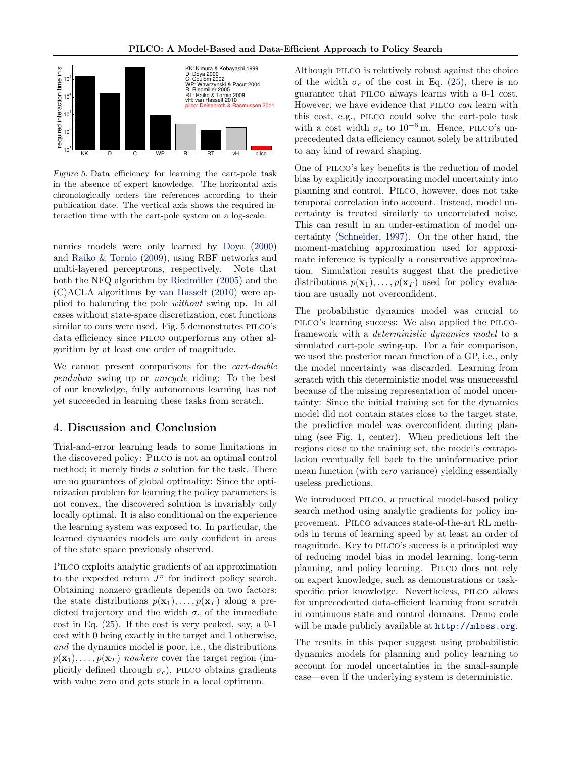

Figure 5. Data efficiency for learning the cart-pole task in the absence of expert knowledge. The horizontal axis chronologically orders the references according to their publication date. The vertical axis shows the required interaction time with the cart-pole system on a log-scale.

namics models were only learned by Doya (2000) and Raiko & Tornio (2009), using RBF networks and multi-layered perceptrons, respectively. Note that both the NFQ algorithm by Riedmiller (2005) and the (C)ACLA algorithms by van Hasselt (2010) were applied to balancing the pole without swing up. In all cases without state-space discretization, cost functions similar to ours were used. Fig. 5 demonstrates PILCO's data efficiency since pilco outperforms any other algorithm by at least one order of magnitude.

We cannot present comparisons for the *cart-double* pendulum swing up or unicycle riding: To the best of our knowledge, fully autonomous learning has not yet succeeded in learning these tasks from scratch.

# 4. Discussion and Conclusion

Trial-and-error learning leads to some limitations in the discovered policy: Pilco is not an optimal control method; it merely finds a solution for the task. There are no guarantees of global optimality: Since the optimization problem for learning the policy parameters is not convex, the discovered solution is invariably only locally optimal. It is also conditional on the experience the learning system was exposed to. In particular, the learned dynamics models are only confident in areas of the state space previously observed.

Pilco exploits analytic gradients of an approximation to the expected return  $J^{\pi}$  for indirect policy search. Obtaining nonzero gradients depends on two factors: the state distributions  $p(\mathbf{x}_1), \ldots, p(\mathbf{x}_T)$  along a predicted trajectory and the width  $\sigma_c$  of the immediate  $\cot$  in Eq. (25). If the cost is very peaked, say, a 0-1 cost with 0 being exactly in the target and 1 otherwise, and the dynamics model is poor, i.e., the distributions  $p(\mathbf{x}_1), \ldots, p(\mathbf{x}_T)$  nowhere cover the target region (implicitly defined through  $\sigma_c$ ), PILCO obtains gradients with value zero and gets stuck in a local optimum.

Although pilco is relatively robust against the choice of the width  $\sigma_c$  of the cost in Eq. (25), there is no guarantee that pilco always learns with a 0-1 cost. However, we have evidence that PILCO can learn with this cost, e.g., pilco could solve the cart-pole task with a cost width  $\sigma_c$  to 10<sup>-6</sup> m. Hence, PILCO's unprecedented data efficiency cannot solely be attributed to any kind of reward shaping.

One of pilco's key benefits is the reduction of model bias by explicitly incorporating model uncertainty into planning and control. Pilco, however, does not take temporal correlation into account. Instead, model uncertainty is treated similarly to uncorrelated noise. This can result in an under-estimation of model uncertainty (Schneider, 1997). On the other hand, the moment-matching approximation used for approximate inference is typically a conservative approximation. Simulation results suggest that the predictive distributions  $p(\mathbf{x}_1), \ldots, p(\mathbf{x}_T)$  used for policy evaluation are usually not overconfident.

The probabilistic dynamics model was crucial to pilco's learning success: We also applied the pilcoframework with a deterministic dynamics model to a simulated cart-pole swing-up. For a fair comparison, we used the posterior mean function of a GP, i.e., only the model uncertainty was discarded. Learning from scratch with this deterministic model was unsuccessful because of the missing representation of model uncertainty: Since the initial training set for the dynamics model did not contain states close to the target state, the predictive model was overconfident during planning (see Fig. 1, center). When predictions left the regions close to the training set, the model's extrapolation eventually fell back to the uninformative prior mean function (with zero variance) yielding essentially useless predictions.

We introduced PILCO, a practical model-based policy search method using analytic gradients for policy improvement. Pilco advances state-of-the-art RL methods in terms of learning speed by at least an order of magnitude. Key to pilco's success is a principled way of reducing model bias in model learning, long-term planning, and policy learning. Pilco does not rely on expert knowledge, such as demonstrations or taskspecific prior knowledge. Nevertheless, PILCO allows for unprecedented data-efficient learning from scratch in continuous state and control domains. Demo code will be made publicly available at http://mloss.org.

The results in this paper suggest using probabilistic dynamics models for planning and policy learning to account for model uncertainties in the small-sample case—even if the underlying system is deterministic.